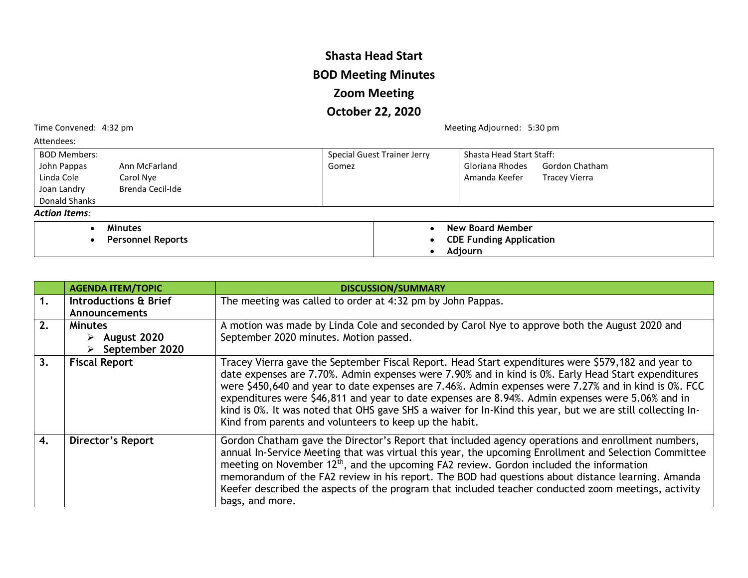## **Shasta Head Start BOD Meeting Minutes Zoom Meeting October 22, 2020**

Time Convened: 4:32 pm and the Convened: 4:32 pm

| Attendees:                      |                             |                                       |  |
|---------------------------------|-----------------------------|---------------------------------------|--|
| <b>BOD Members:</b>             | Special Guest Trainer Jerry | Shasta Head Start Staff:              |  |
| John Pappas<br>Ann McFarland    | Gomez                       | Gloriana Rhodes<br>Gordon Chatham     |  |
| Linda Cole<br>Carol Nye         |                             | Amanda Keefer<br><b>Tracey Vierra</b> |  |
| Brenda Cecil-Ide<br>Joan Landry |                             |                                       |  |
| Donald Shanks                   |                             |                                       |  |
| <b>Action Items:</b>            |                             |                                       |  |
| <b>Minutes</b>                  |                             | New Board Member                      |  |
| <b>Personnel Reports</b>        |                             | <b>CDE Funding Application</b>        |  |
|                                 |                             | Adjourn                               |  |

|    | <b>AGENDA ITEM/TOPIC</b>                                         | <b>DISCUSSION/SUMMARY</b>                                                                                                                                                                                                                                                                                                                                                                                                                                                                                                                                                                     |
|----|------------------------------------------------------------------|-----------------------------------------------------------------------------------------------------------------------------------------------------------------------------------------------------------------------------------------------------------------------------------------------------------------------------------------------------------------------------------------------------------------------------------------------------------------------------------------------------------------------------------------------------------------------------------------------|
| 1. | Introductions & Brief<br><b>Announcements</b>                    | The meeting was called to order at 4:32 pm by John Pappas.                                                                                                                                                                                                                                                                                                                                                                                                                                                                                                                                    |
| 2. | <b>Minutes</b><br>$\triangleright$ August 2020<br>September 2020 | A motion was made by Linda Cole and seconded by Carol Nye to approve both the August 2020 and<br>September 2020 minutes. Motion passed.                                                                                                                                                                                                                                                                                                                                                                                                                                                       |
| 3. | <b>Fiscal Report</b>                                             | Tracey Vierra gave the September Fiscal Report. Head Start expenditures were \$579,182 and year to<br>date expenses are 7.70%. Admin expenses were 7.90% and in kind is 0%. Early Head Start expenditures<br>were \$450,640 and year to date expenses are 7.46%. Admin expenses were 7.27% and in kind is 0%. FCC<br>expenditures were \$46,811 and year to date expenses are 8.94%. Admin expenses were 5.06% and in<br>kind is 0%. It was noted that OHS gave SHS a waiver for In-Kind this year, but we are still collecting In-<br>Kind from parents and volunteers to keep up the habit. |
| 4. | <b>Director's Report</b>                                         | Gordon Chatham gave the Director's Report that included agency operations and enrollment numbers,<br>annual In-Service Meeting that was virtual this year, the upcoming Enrollment and Selection Committee<br>meeting on November 12 <sup>th</sup> , and the upcoming FA2 review. Gordon included the information<br>memorandum of the FA2 review in his report. The BOD had questions about distance learning. Amanda<br>Keefer described the aspects of the program that included teacher conducted zoom meetings, activity<br>bags, and more.                                              |